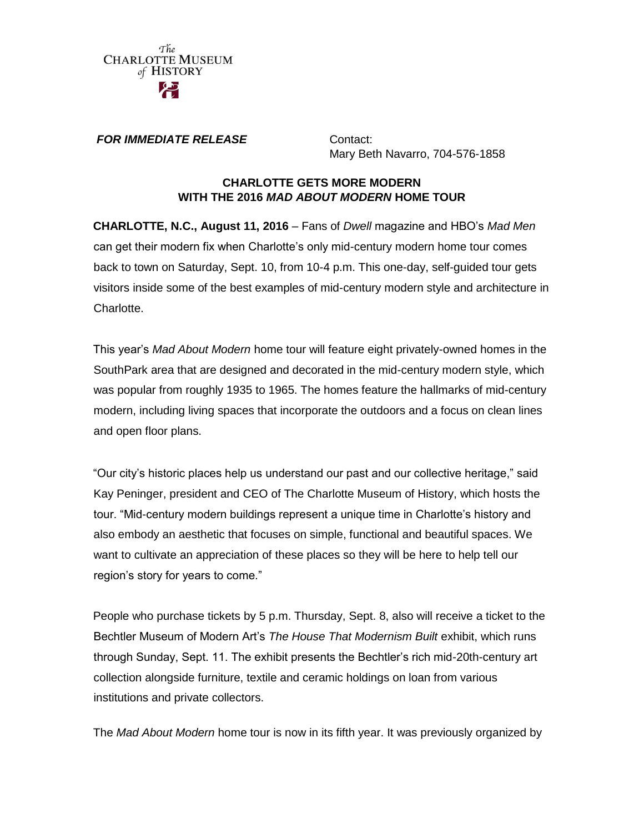

*FOR IMMEDIATE RELEASE* **Contact:** 

Mary Beth Navarro, 704-576-1858

#### **CHARLOTTE GETS MORE MODERN WITH THE 2016** *MAD ABOUT MODERN* **HOME TOUR**

**CHARLOTTE, N.C., August 11, 2016** – Fans of *Dwell* magazine and HBO's *Mad Men* can get their modern fix when Charlotte's only mid-century modern home tour comes back to town on Saturday, Sept. 10, from 10-4 p.m. This one-day, self-guided tour gets visitors inside some of the best examples of mid-century modern style and architecture in Charlotte.

This year's *Mad About Modern* home tour will feature eight privately-owned homes in the SouthPark area that are designed and decorated in the mid-century modern style, which was popular from roughly 1935 to 1965. The homes feature the hallmarks of mid-century modern, including living spaces that incorporate the outdoors and a focus on clean lines and open floor plans.

"Our city's historic places help us understand our past and our collective heritage," said Kay Peninger, president and CEO of The Charlotte Museum of History, which hosts the tour. "Mid-century modern buildings represent a unique time in Charlotte's history and also embody an aesthetic that focuses on simple, functional and beautiful spaces. We want to cultivate an appreciation of these places so they will be here to help tell our region's story for years to come."

People who purchase tickets by 5 p.m. Thursday, Sept. 8, also will receive a ticket to the Bechtler Museum of Modern Art's *The House That Modernism Built* exhibit, which runs through Sunday, Sept. 11. The exhibit presents the Bechtler's rich mid-20th-century art collection alongside furniture, textile and ceramic holdings on loan from various institutions and private collectors.

The *Mad About Modern* home tour is now in its fifth year. It was previously organized by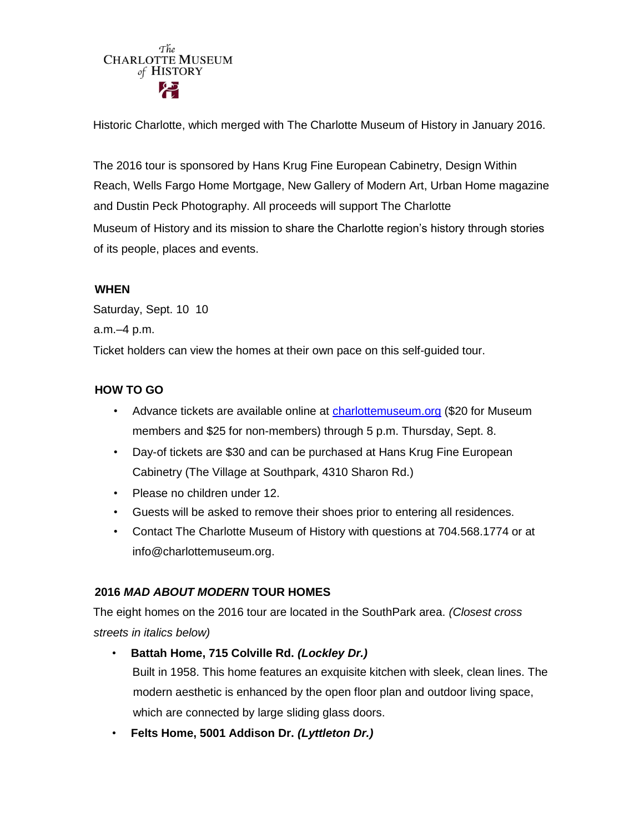# The **CHARLOTTE MUSEUM** of HISTORY

Historic Charlotte, which merged with The Charlotte Museum of History in January 2016.

The 2016 tour is sponsored by Hans Krug Fine European Cabinetry, Design Within Reach, Wells Fargo Home Mortgage, New Gallery of Modern Art, Urban Home magazine and Dustin Peck Photography. All proceeds will support The Charlotte Museum of History and its mission to share the Charlotte region's history through stories of its people, places and events.

## **WHEN**

Saturday, Sept. 10 10 a.m.–4 p.m. Ticket holders can view the homes at their own pace on this self-guided tour.

## **HOW TO GO**

- Advance tickets are available online at [charlottemuseum.org](http://www.charlottemuseum.org/) [\(\\$](http://www.charlottemuseum.org/)20 for Museum members and \$25 for non-members) through 5 p.m. Thursday, Sept. 8.
- Day-of tickets are \$30 and can be purchased at Hans Krug Fine European Cabinetry (The Village at Southpark, 4310 Sharon Rd.)
- Please no children under 12.
- Guests will be asked to remove their shoes prior to entering all residences.
- Contact The Charlotte Museum of History with questions at 704.568.1774 or at info@charlottemuseum.org.

## **2016** *MAD ABOUT MODERN* **TOUR HOMES**

The eight homes on the 2016 tour are located in the SouthPark area. *(Closest cross streets in italics below)*

- **Battah Home, 715 Colville Rd.** *(Lockley Dr.)* Built in 1958. This home features an exquisite kitchen with sleek, clean lines. The modern aesthetic is enhanced by the open floor plan and outdoor living space, which are connected by large sliding glass doors.
- **Felts Home, 5001 Addison Dr.** *(Lyttleton Dr.)*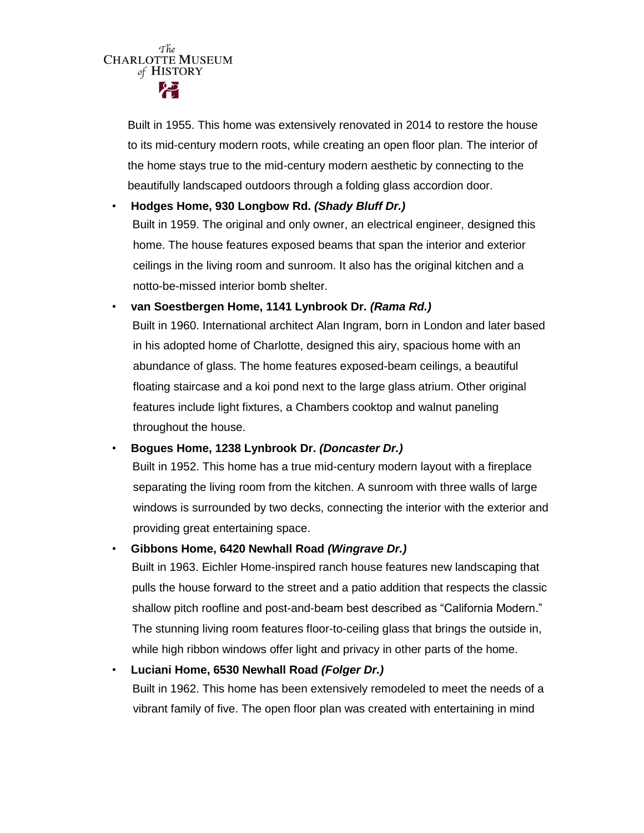$\tau_{he}^{The}$  CHARLOTTE MUSEUM of HISTORY

> Built in 1955. This home was extensively renovated in 2014 to restore the house to its mid-century modern roots, while creating an open floor plan. The interior of the home stays true to the mid-century modern aesthetic by connecting to the beautifully landscaped outdoors through a folding glass accordion door.

#### • **Hodges Home, 930 Longbow Rd.** *(Shady Bluff Dr.)*

Built in 1959. The original and only owner, an electrical engineer, designed this home. The house features exposed beams that span the interior and exterior ceilings in the living room and sunroom. It also has the original kitchen and a notto-be-missed interior bomb shelter.

## • **van Soestbergen Home, 1141 Lynbrook Dr.** *(Rama Rd.)*

Built in 1960. International architect Alan Ingram, born in London and later based in his adopted home of Charlotte, designed this airy, spacious home with an abundance of glass. The home features exposed-beam ceilings, a beautiful floating staircase and a koi pond next to the large glass atrium. Other original features include light fixtures, a Chambers cooktop and walnut paneling throughout the house.

#### • **Bogues Home, 1238 Lynbrook Dr.** *(Doncaster Dr.)*

Built in 1952. This home has a true mid-century modern layout with a fireplace separating the living room from the kitchen. A sunroom with three walls of large windows is surrounded by two decks, connecting the interior with the exterior and providing great entertaining space.

## • **Gibbons Home, 6420 Newhall Road** *(Wingrave Dr.)*

Built in 1963. Eichler Home-inspired ranch house features new landscaping that pulls the house forward to the street and a patio addition that respects the classic shallow pitch roofline and post-and-beam best described as "California Modern." The stunning living room features floor-to-ceiling glass that brings the outside in, while high ribbon windows offer light and privacy in other parts of the home.

## • **Luciani Home, 6530 Newhall Road** *(Folger Dr.)*

Built in 1962. This home has been extensively remodeled to meet the needs of a vibrant family of five. The open floor plan was created with entertaining in mind